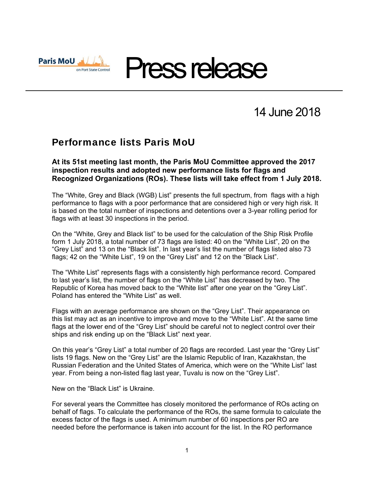

14 June 2018

## Performance lists Paris MoU

**At its 51st meeting last month, the Paris MoU Committee approved the 2017 inspection results and adopted new performance lists for flags and Recognized Organizations (ROs). These lists will take effect from 1 July 2018.** 

The "White, Grey and Black (WGB) List" presents the full spectrum, from flags with a high performance to flags with a poor performance that are considered high or very high risk. It is based on the total number of inspections and detentions over a 3-year rolling period for flags with at least 30 inspections in the period.

On the "White, Grey and Black list" to be used for the calculation of the Ship Risk Profile form 1 July 2018, a total number of 73 flags are listed: 40 on the "White List", 20 on the "Grey List" and 13 on the "Black list". In last year's list the number of flags listed also 73 flags; 42 on the "White List", 19 on the "Grey List" and 12 on the "Black List".

The "White List" represents flags with a consistently high performance record. Compared to last year's list, the number of flags on the "White List" has decreased by two. The Republic of Korea has moved back to the "White list" after one year on the "Grey List". Poland has entered the "White List" as well.

Flags with an average performance are shown on the "Grey List". Their appearance on this list may act as an incentive to improve and move to the "White List". At the same time flags at the lower end of the "Grey List" should be careful not to neglect control over their ships and risk ending up on the "Black List" next year.

On this year's "Grey List" a total number of 20 flags are recorded. Last year the "Grey List" lists 19 flags. New on the "Grey List" are the Islamic Republic of Iran, Kazakhstan, the Russian Federation and the United States of America, which were on the "White List" last year. From being a non-listed flag last year, Tuvalu is now on the "Grey List".

New on the "Black List" is Ukraine.

For several years the Committee has closely monitored the performance of ROs acting on behalf of flags. To calculate the performance of the ROs, the same formula to calculate the excess factor of the flags is used. A minimum number of 60 inspections per RO are needed before the performance is taken into account for the list. In the RO performance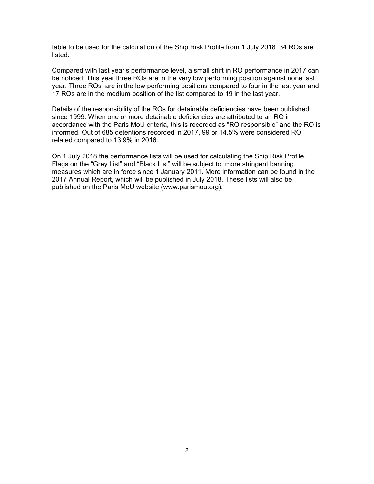table to be used for the calculation of the Ship Risk Profile from 1 July 2018 34 ROs are listed.

Compared with last year's performance level, a small shift in RO performance in 2017 can be noticed. This year three ROs are in the very low performing position against none last year. Three ROs are in the low performing positions compared to four in the last year and 17 ROs are in the medium position of the list compared to 19 in the last year.

Details of the responsibility of the ROs for detainable deficiencies have been published since 1999. When one or more detainable deficiencies are attributed to an RO in accordance with the Paris MoU criteria, this is recorded as "RO responsible" and the RO is informed. Out of 685 detentions recorded in 2017, 99 or 14.5% were considered RO related compared to 13.9% in 2016.

On 1 July 2018 the performance lists will be used for calculating the Ship Risk Profile. Flags on the "Grey List" and "Black List" will be subject to more stringent banning measures which are in force since 1 January 2011. More information can be found in the 2017 Annual Report, which will be published in July 2018. These lists will also be published on the Paris MoU website (www.parismou.org).